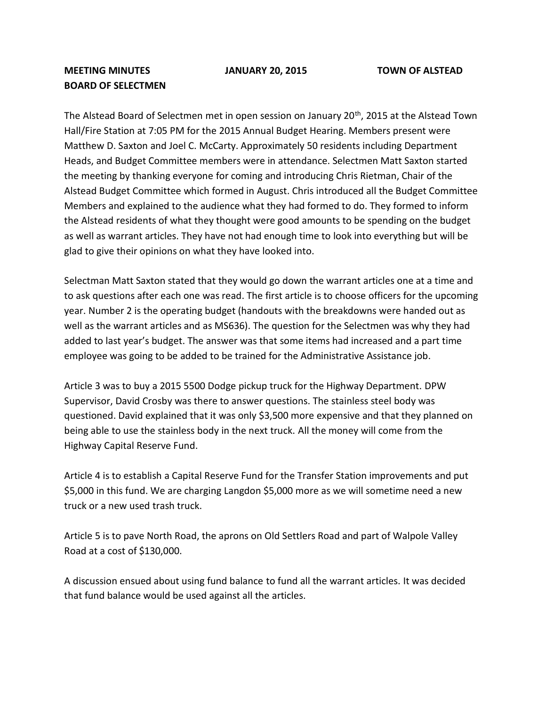## **MEETING MINUTES JANUARY 20, 2015 TOWN OF ALSTEAD BOARD OF SELECTMEN**

The Alstead Board of Selectmen met in open session on January 20<sup>th</sup>, 2015 at the Alstead Town Hall/Fire Station at 7:05 PM for the 2015 Annual Budget Hearing. Members present were Matthew D. Saxton and Joel C. McCarty. Approximately 50 residents including Department Heads, and Budget Committee members were in attendance. Selectmen Matt Saxton started the meeting by thanking everyone for coming and introducing Chris Rietman, Chair of the Alstead Budget Committee which formed in August. Chris introduced all the Budget Committee Members and explained to the audience what they had formed to do. They formed to inform the Alstead residents of what they thought were good amounts to be spending on the budget as well as warrant articles. They have not had enough time to look into everything but will be glad to give their opinions on what they have looked into.

Selectman Matt Saxton stated that they would go down the warrant articles one at a time and to ask questions after each one was read. The first article is to choose officers for the upcoming year. Number 2 is the operating budget (handouts with the breakdowns were handed out as well as the warrant articles and as MS636). The question for the Selectmen was why they had added to last year's budget. The answer was that some items had increased and a part time employee was going to be added to be trained for the Administrative Assistance job.

Article 3 was to buy a 2015 5500 Dodge pickup truck for the Highway Department. DPW Supervisor, David Crosby was there to answer questions. The stainless steel body was questioned. David explained that it was only \$3,500 more expensive and that they planned on being able to use the stainless body in the next truck. All the money will come from the Highway Capital Reserve Fund.

Article 4 is to establish a Capital Reserve Fund for the Transfer Station improvements and put \$5,000 in this fund. We are charging Langdon \$5,000 more as we will sometime need a new truck or a new used trash truck.

Article 5 is to pave North Road, the aprons on Old Settlers Road and part of Walpole Valley Road at a cost of \$130,000.

A discussion ensued about using fund balance to fund all the warrant articles. It was decided that fund balance would be used against all the articles.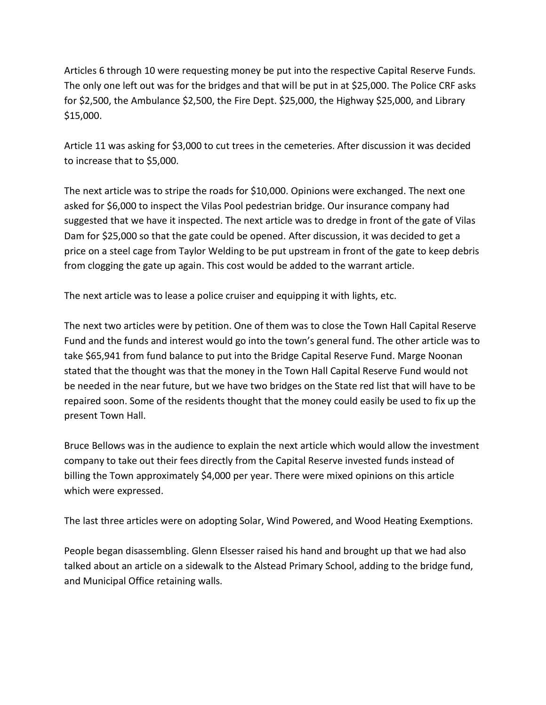Articles 6 through 10 were requesting money be put into the respective Capital Reserve Funds. The only one left out was for the bridges and that will be put in at \$25,000. The Police CRF asks for \$2,500, the Ambulance \$2,500, the Fire Dept. \$25,000, the Highway \$25,000, and Library \$15,000.

Article 11 was asking for \$3,000 to cut trees in the cemeteries. After discussion it was decided to increase that to \$5,000.

The next article was to stripe the roads for \$10,000. Opinions were exchanged. The next one asked for \$6,000 to inspect the Vilas Pool pedestrian bridge. Our insurance company had suggested that we have it inspected. The next article was to dredge in front of the gate of Vilas Dam for \$25,000 so that the gate could be opened. After discussion, it was decided to get a price on a steel cage from Taylor Welding to be put upstream in front of the gate to keep debris from clogging the gate up again. This cost would be added to the warrant article.

The next article was to lease a police cruiser and equipping it with lights, etc.

The next two articles were by petition. One of them was to close the Town Hall Capital Reserve Fund and the funds and interest would go into the town's general fund. The other article was to take \$65,941 from fund balance to put into the Bridge Capital Reserve Fund. Marge Noonan stated that the thought was that the money in the Town Hall Capital Reserve Fund would not be needed in the near future, but we have two bridges on the State red list that will have to be repaired soon. Some of the residents thought that the money could easily be used to fix up the present Town Hall.

Bruce Bellows was in the audience to explain the next article which would allow the investment company to take out their fees directly from the Capital Reserve invested funds instead of billing the Town approximately \$4,000 per year. There were mixed opinions on this article which were expressed.

The last three articles were on adopting Solar, Wind Powered, and Wood Heating Exemptions.

People began disassembling. Glenn Elsesser raised his hand and brought up that we had also talked about an article on a sidewalk to the Alstead Primary School, adding to the bridge fund, and Municipal Office retaining walls.